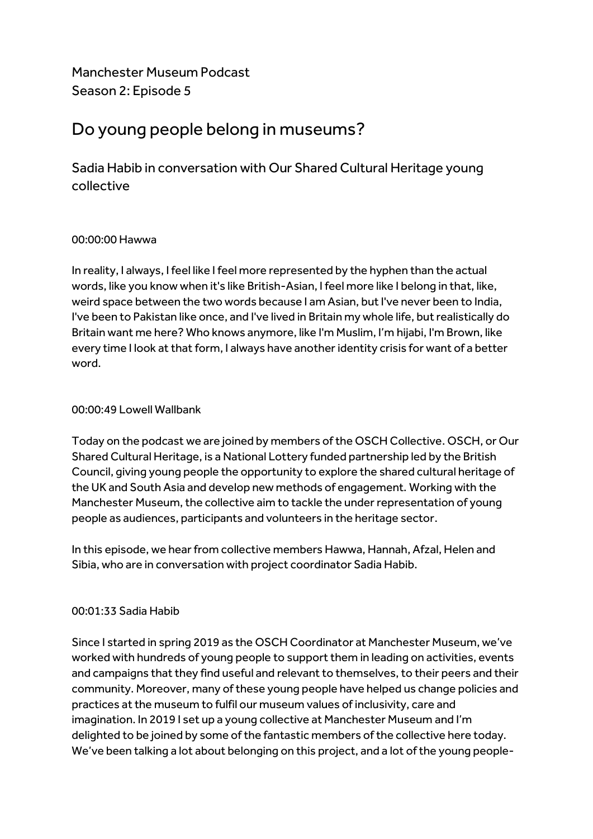Manchester Museum Podcast Season 2: Episode 5

# Do young people belong in museums?

Sadia Habib in conversation with Our Shared Cultural Heritage young collective

# 00:00:00 Hawwa

In reality, I always, I feel like I feel more represented by the hyphen than the actual words, like you know when it's like British-Asian, I feel more like I belong in that, like, weird space between the two words because I am Asian, but I've never been to India, I've been to Pakistan like once, and I've lived in Britain my whole life, but realistically do Britain want me here? Who knows anymore, like I'm Muslim, I'm hijabi, I'm Brown, like every time I look at that form, I always have another identity crisis for want of a better word.

# 00:00:49 Lowell Wallbank

Today on the podcast we are joined by members of the OSCH Collective. OSCH, or Our Shared Cultural Heritage, is a National Lottery funded partnership led by the British Council, giving young people the opportunity to explore the shared cultural heritage of the UK and South Asia and develop new methods of engagement. Working with the Manchester Museum, the collective aim to tackle the under representation of young people as audiences, participants and volunteers in the heritage sector.

In this episode, we hear from collective members Hawwa, Hannah, Afzal, Helen and Sibia, who are in conversation with project coordinator Sadia Habib.

# 00:01:33 Sadia Habib

Since I started in spring 2019 as the OSCH Coordinator at Manchester Museum, we've worked with hundreds of young people to support them in leading on activities, events and campaigns that they find useful and relevant to themselves, to their peers and their community. Moreover, many of these young people have helped us change policies and practices at the museum to fulfil our museum values of inclusivity, care and imagination. In 2019 I set up a young collective at Manchester Museum and I'm delighted to be joined by some of the fantastic members of the collective here today. We've been talking a lot about belonging on this project, and a lot of the young people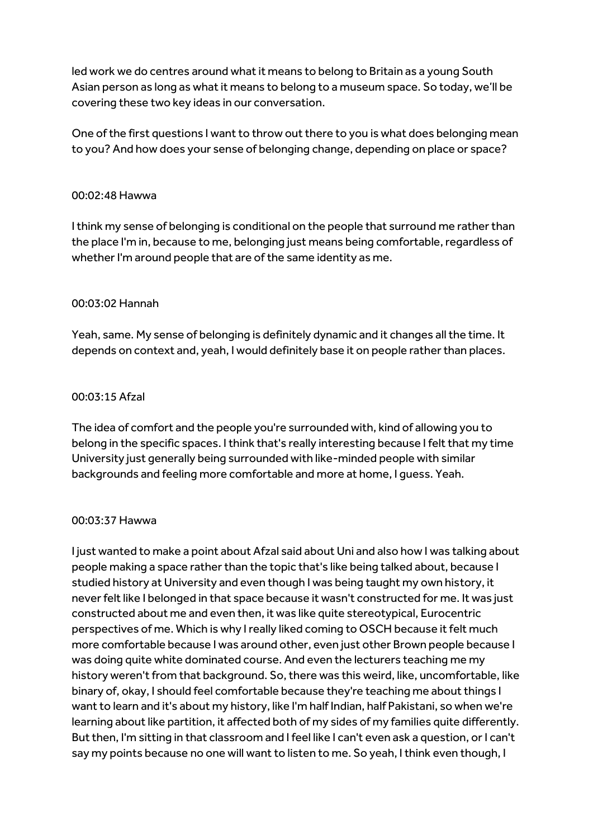led work we do centres around what it means to belong to Britain as a young South Asian person as long as what it means to belong to a museum space. So today, we'll be covering these two key ideas in our conversation.

One of the first questions I want to throw out there to you is what does belonging mean to you? And how does your sense of belonging change, depending on place or space?

## 00:02:48 Hawwa

I think my sense of belonging is conditional on the people that surround me rather than the place I'm in, because to me, belonging just means being comfortable, regardless of whether I'm around people that are of the same identity as me.

# 00:03:02 Hannah

Yeah, same. My sense of belonging is definitely dynamic and it changes all the time. It depends on context and, yeah, I would definitely base it on people rather than places.

# 00:03:15 Afzal

The idea of comfort and the people you're surrounded with, kind of allowing you to belong in the specific spaces. I think that's really interesting because I felt that my time University just generally being surrounded with like-minded people with similar backgrounds and feeling more comfortable and more at home, I guess. Yeah.

### 00:03:37 Hawwa

I just wanted to make a point about Afzal said about Uni and also how I was talking about people making a space rather than the topic that's like being talked about, because I studied history at University and even though I was being taught my own history, it never felt like I belonged in that space because it wasn't constructed for me. It was just constructed about me and even then, it was like quite stereotypical, Eurocentric perspectives of me. Which is why I really liked coming to OSCH because it felt much more comfortable because I was around other, even just other Brown people because I was doing quite white dominated course. And even the lecturers teaching me my history weren't from that background. So, there was this weird, like, uncomfortable, like binary of, okay, I should feel comfortable because they're teaching me about things I want to learn and it's about my history, like I'm half Indian, half Pakistani, so when we're learning about like partition, it affected both of my sides of my families quite differently. But then, I'm sitting in that classroom and I feel like I can't even ask a question, or I can't say my points because no one will want to listen to me. So yeah, I think even though, I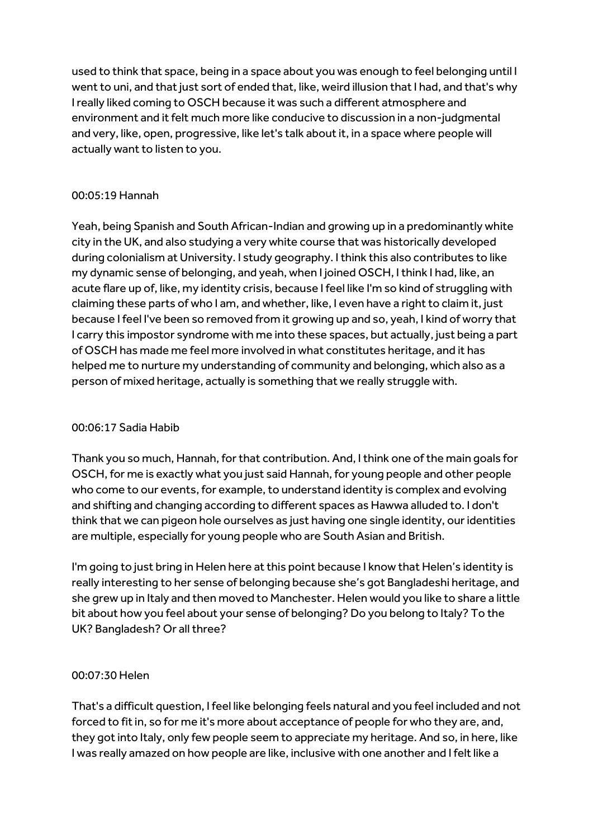used to think that space, being in a space about you was enough to feel belonging until I went to uni, and that just sort of ended that, like, weird illusion that I had, and that's why I really liked coming to OSCH because it was such a different atmosphere and environment and it felt much more like conducive to discussion in a non-judgmental and very, like, open, progressive, like let's talk about it, in a space where people will actually want to listen to you.

# 00:05:19 Hannah

Yeah, being Spanish and South African-Indian and growing up in a predominantly white city in the UK, and also studying a very white course that was historically developed during colonialism at University. I study geography. I think this also contributes to like my dynamic sense of belonging, and yeah, when I joined OSCH, I think I had, like, an acute flare up of, like, my identity crisis, because I feel like I'm so kind of struggling with claiming these parts of who I am, and whether, like, I even have a right to claim it, just because I feel I've been so removed from it growing up and so, yeah, I kind of worry that I carry this impostor syndrome with me into these spaces, but actually, just being a part of OSCH has made me feel more involved in what constitutes heritage, and it has helped me to nurture my understanding of community and belonging, which also as a person of mixed heritage, actually is something that we really struggle with.

# 00:06:17 Sadia Habib

Thank you so much, Hannah, for that contribution. And, I think one of the main goals for OSCH, for me is exactly what you just said Hannah, for young people and other people who come to our events, for example, to understand identity is complex and evolving and shifting and changing according to different spaces as Hawwa alluded to. I don't think that we can pigeon hole ourselves as just having one single identity, our identities are multiple, especially for young people who are South Asian and British.

I'm going to just bring in Helen here at this point because I know that Helen's identity is really interesting to her sense of belonging because she's got Bangladeshi heritage, and she grew up in Italy and then moved to Manchester. Helen would you like to share a little bit about how you feel about your sense of belonging? Do you belong to Italy? To the UK? Bangladesh? Or all three?

# 00:07:30 Helen

That's a difficult question, I feel like belonging feels natural and you feel included and not forced to fit in, so for me it's more about acceptance of people for who they are, and, they got into Italy, only few people seem to appreciate my heritage. And so, in here, like I was really amazed on how people are like, inclusive with one another and I felt like a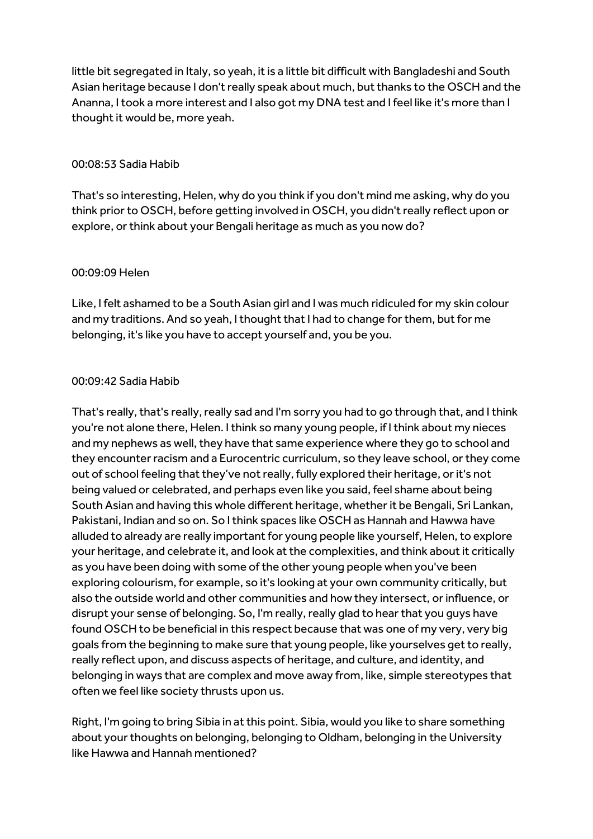little bit segregated in Italy, so yeah, it is a little bit difficult with Bangladeshi and South Asian heritage because I don't really speak about much, but thanks to the OSCH and the Ananna, I took a more interest and I also got my DNA test and I feel like it's more than I thought it would be, more yeah.

# 00:08:53 Sadia Habib

That's so interesting, Helen, why do you think if you don't mind me asking, why do you think prior to OSCH, before getting involved in OSCH, you didn't really reflect upon or explore, or think about your Bengali heritage as much as you now do?

# 00:09:09 Helen

Like, I felt ashamed to be a South Asian girl and I was much ridiculed for my skin colour and my traditions. And so yeah, I thought that I had to change for them, but for me belonging, it's like you have to accept yourself and, you be you.

# 00:09:42 Sadia Habib

That's really, that's really, really sad and I'm sorry you had to go through that, and I think you're not alone there, Helen. I think so many young people, if I think about my nieces and my nephews as well, they have that same experience where they go to school and they encounter racism and a Eurocentric curriculum, so they leave school, or they come out of school feeling that they've not really, fully explored their heritage, or it's not being valued or celebrated, and perhaps even like you said, feel shame about being South Asian and having this whole different heritage, whether it be Bengali, Sri Lankan, Pakistani, Indian and so on. So I think spaces like OSCH as Hannah and Hawwa have alluded to already are really important for young people like yourself, Helen, to explore your heritage, and celebrate it, and look at the complexities, and think about it critically as you have been doing with some of the other young people when you've been exploring colourism, for example, so it's looking at your own community critically, but also the outside world and other communities and how they intersect, or influence, or disrupt your sense of belonging. So, I'm really, really glad to hear that you guys have found OSCH to be beneficial in this respect because that was one of my very, very big goals from the beginning to make sure that young people, like yourselves get to really, really reflect upon, and discuss aspects of heritage, and culture, and identity, and belonging in ways that are complex and move away from, like, simple stereotypes that often we feel like society thrusts upon us.

Right, I'm going to bring Sibia in at this point. Sibia, would you like to share something about your thoughts on belonging, belonging to Oldham, belonging in the University like Hawwa and Hannah mentioned?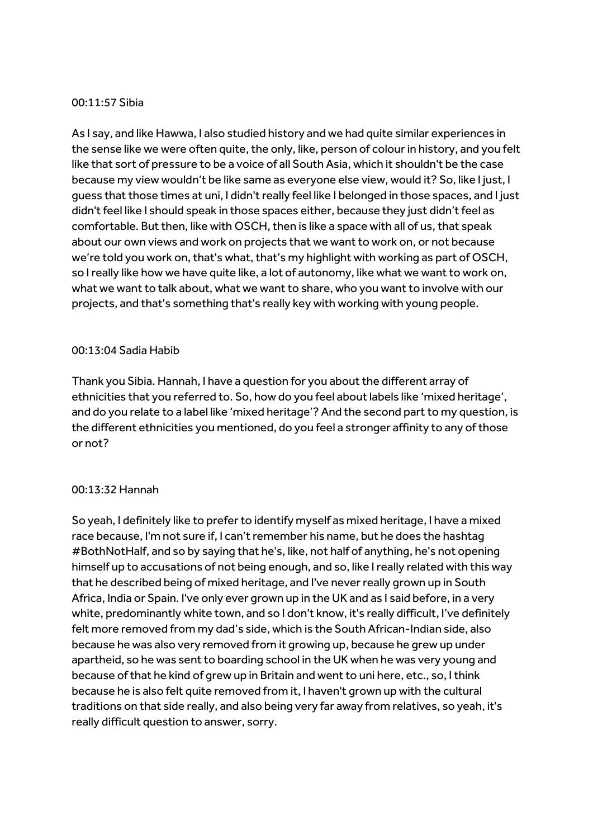#### 00:11:57 Sibia

As I say, and like Hawwa, I also studied history and we had quite similar experiences in the sense like we were often quite, the only, like, person of colour in history, and you felt like that sort of pressure to be a voice of all South Asia, which it shouldn't be the case because my view wouldn't be like same as everyone else view, would it? So, like I just, I guess that those times at uni, I didn't really feel like I belonged in those spaces, and I just didn't feel like I should speak in those spaces either, because they just didn't feel as comfortable. But then, like with OSCH, then is like a space with all of us, that speak about our own views and work on projects that we want to work on, or not because we're told you work on, that's what, that's my highlight with working as part of OSCH, so I really like how we have quite like, a lot of autonomy, like what we want to work on, what we want to talk about, what we want to share, who you want to involve with our projects, and that's something that's really key with working with young people.

### 00:13:04 Sadia Habib

Thank you Sibia. Hannah, I have a question for you about the different array of ethnicities that you referred to. So, how do you feel about labels like 'mixed heritage', and do you relate to a label like 'mixed heritage'? And the second part to my question, is the different ethnicities you mentioned, do you feel a stronger affinity to any of those or not?

#### 00:13:32 Hannah

So yeah, I definitely like to prefer to identify myself as mixed heritage, I have a mixed race because, I'm not sure if, I can't remember his name, but he does the hashtag #BothNotHalf, and so by saying that he's, like, not half of anything, he's not opening himself up to accusations of not being enough, and so, like I really related with this way that he described being of mixed heritage, and I've neverreally grown up in South Africa, India or Spain. I've only ever grown up in the UK and as I said before, in a very white, predominantly white town, and so I don't know, it's really difficult, I've definitely felt more removed from my dad's side, which is the South African-Indian side, also because he was also very removed from it growing up, because he grew up under apartheid, so he was sent to boarding school in the UK when he was very young and because of that he kind of grew up in Britain and went to uni here, etc., so, I think because he is also felt quite removed from it, I haven't grown up with the cultural traditions on that side really, and also being very far away from relatives, so yeah, it's really difficult question to answer, sorry.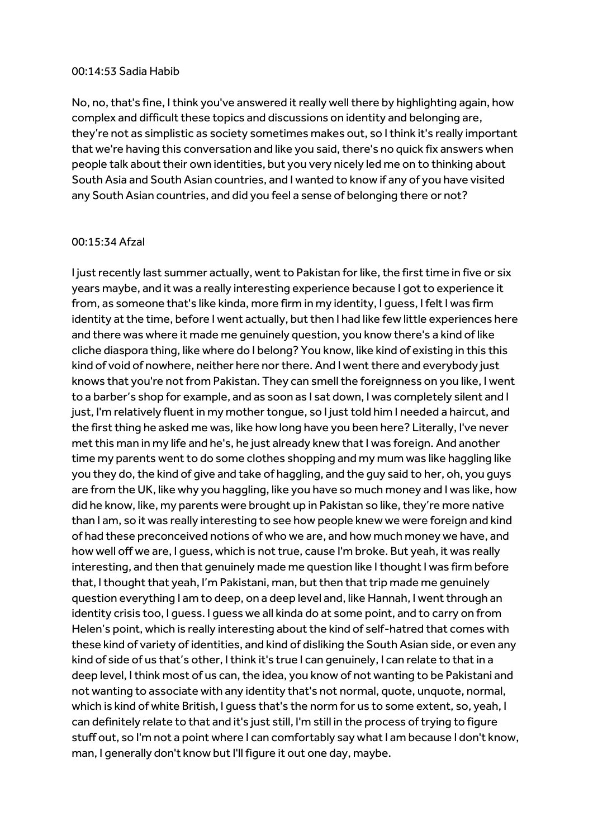#### 00:14:53 Sadia Habib

No, no, that's fine, I think you've answered it really well there by highlighting again, how complex and difficult these topics and discussions on identity and belonging are, they're not as simplistic as society sometimes makes out, so I think it's really important that we're having this conversation and like you said, there's no quick fix answers when people talk about their own identities, but you very nicely led me on to thinking about South Asia and South Asian countries, and I wanted to know if any of you have visited any South Asian countries, and did you feel a sense of belonging there or not?

#### 00:15:34 Afzal

I just recently last summer actually, went to Pakistan for like, the first time in five or six years maybe, and it was a really interesting experience because I got to experience it from, as someone that's like kinda, more firm in my identity, I guess, I felt I was firm identity at the time, before I went actually, but then I had like few little experiences here and there was where it made me genuinely question, you know there's a kind of like cliche diaspora thing, like where do I belong? You know, like kind of existing in this this kind of void of nowhere, neither here nor there. And I went there and everybody just knows that you're not from Pakistan. They can smell the foreignness on you like, I went to a barber's shop for example, and as soon as I sat down, I was completely silent and I just, I'm relatively fluent in my mother tongue, so I just told him I needed a haircut, and the first thing he asked me was, like how long have you been here? Literally, I've never met this man in my life and he's, he just already knew that I was foreign. And another time my parents went to do some clothes shopping and my mum was like haggling like you they do, the kind of give and take of haggling, and the guy said to her, oh, you guys are from the UK, like why you haggling, like you have so much money and I was like, how did he know, like, my parents were brought up in Pakistan so like, they're more native than I am, so it was really interesting to see how people knew we were foreign and kind of had these preconceived notions of who we are, and how much money we have, and how well off we are, I guess, which is not true, cause I'm broke. But yeah, it was really interesting, and then that genuinely made me question like I thought I was firm before that, I thought that yeah, I'm Pakistani, man, but then that trip made me genuinely question everything I am to deep, on a deep level and, like Hannah, I went through an identity crisis too, I guess. I guess we all kinda do at some point, and to carry on from Helen's point, which is really interesting about the kind of self-hatred that comes with these kind of variety of identities, and kind of disliking the South Asian side, or even any kind of side of us that's other, I think it's true I can genuinely, I can relate to that in a deep level, I think most of us can, the idea, you know of not wanting to be Pakistani and not wanting to associate with any identity that's not normal, quote, unquote, normal, which is kind of white British, I guess that's the norm for us to some extent, so, yeah, I can definitely relate to that and it's just still, I'm still in the process of trying to figure stuff out, so I'm not a point where I can comfortably say what I am because I don't know, man, I generally don't know but I'll figure it out one day, maybe.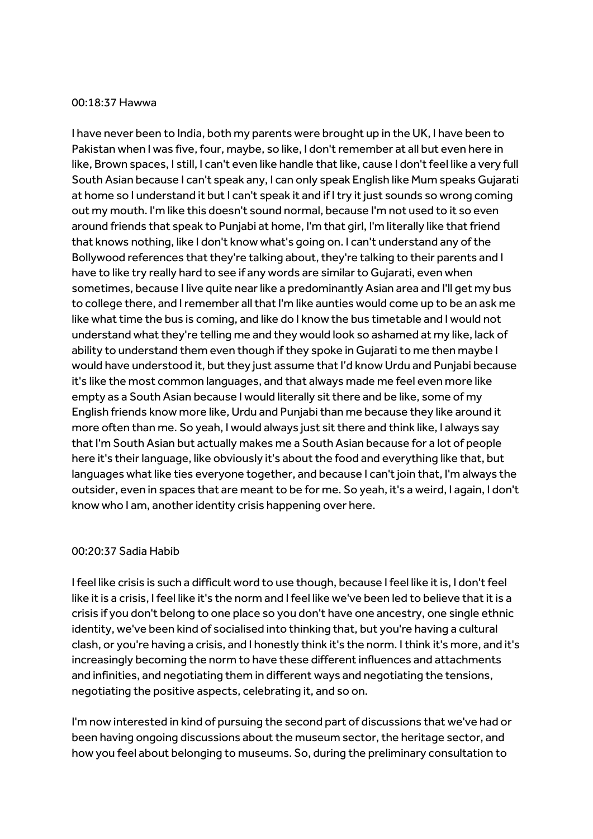#### 00:18:37 Hawwa

I have never been to India, both my parents were brought up in the UK, I have been to Pakistan when I was five, four, maybe, so like, I don't remember at all but even here in like, Brown spaces, I still, I can't even like handle that like, cause I don't feel like a very full South Asian because I can't speak any, I can only speak English like Mum speaks Gujarati at home so I understand it but I can't speak it and if I try it just sounds so wrong coming out my mouth. I'm like this doesn't sound normal, because I'm not used to it so even around friends that speak to Punjabi at home, I'm that girl, I'm literally like that friend that knows nothing, like I don't know what's going on. I can't understand any of the Bollywood references that they're talking about, they're talking to their parents and I have to like try really hard to see if any words are similar to Gujarati, even when sometimes, because I live quite near like a predominantly Asian area and I'll get my bus to college there, and I remember all that I'm like aunties would come up to be an ask me like what time the bus is coming, and like do I know the bus timetable and I would not understand what they're telling me and they would look so ashamed at my like, lack of ability to understand them even though if they spoke in Gujarati to me then maybe I would have understood it, but they just assume that I'd know Urdu and Punjabi because it's like the most common languages, and that always made me feel even more like empty as a South Asian because I would literally sit there and be like, some of my English friends know more like, Urdu and Punjabi than me because they like around it more often than me. So yeah, I would always just sit there and think like, I always say that I'm South Asian but actually makes me a South Asian because for a lot of people here it's their language, like obviously it's about the food and everything like that, but languages what like ties everyone together, and because I can't join that, I'm always the outsider, even in spaces that are meant to be for me. So yeah, it's a weird, I again, I don't know who I am, another identity crisis happening over here.

### 00:20:37 Sadia Habib

I feel like crisis is such a difficult word to use though, because I feel like it is, I don't feel like it is a crisis, I feel like it's the norm and I feel like we've been led to believe that it is a crisis if you don't belong to one place so you don't have one ancestry, one single ethnic identity, we've been kind of socialised into thinking that, but you're having a cultural clash, or you're having a crisis, and I honestly think it's the norm. I think it's more, and it's increasingly becoming the norm to have these different influences and attachments and infinities, and negotiating them in different ways and negotiating the tensions, negotiating the positive aspects, celebrating it, and so on.

I'm now interested in kind of pursuing the second part of discussions that we've had or been having ongoing discussions about the museum sector, the heritage sector, and how you feel about belonging to museums. So, during the preliminary consultation to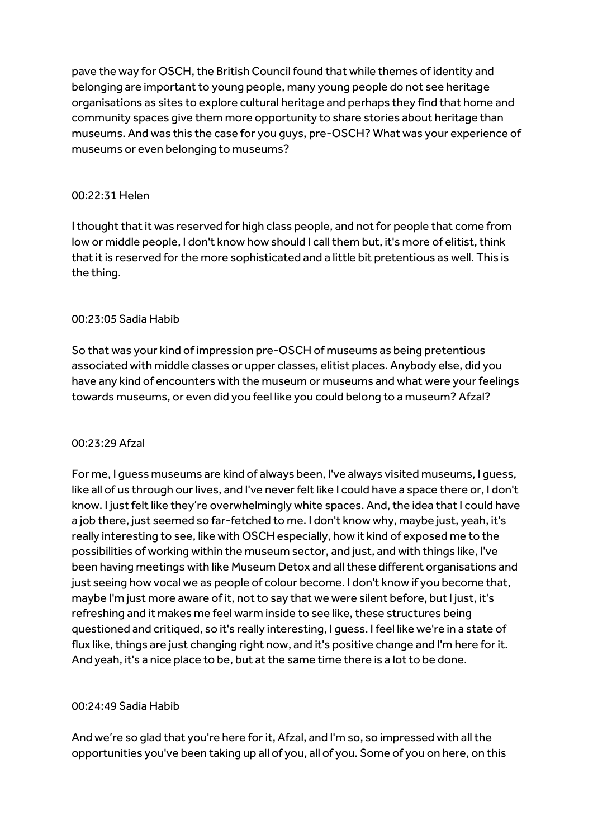pave the way for OSCH, the British Council found that while themes of identity and belonging are important to young people, many young people do not see heritage organisations as sites to explore cultural heritage and perhaps they find that home and community spaces give them more opportunity to share stories about heritage than museums. And was this the case for you guys, pre-OSCH? What was your experience of museums or even belonging to museums?

# 00:22:31 Helen

I thought that it was reserved for high class people, and not for people that come from low or middle people, I don't know how should I call them but, it's more of elitist, think that it is reserved forthe more sophisticated and a little bit pretentious as well. This is the thing.

# 00:23:05 Sadia Habib

So that was your kind of impression pre-OSCH of museums as being pretentious associated with middle classes or upper classes, elitist places. Anybody else, did you have any kind of encounters with the museum or museums and what were your feelings towards museums, or even did you feel like you could belong to a museum? Afzal?

# 00:23:29 Afzal

For me, I guess museums are kind of always been, I've always visited museums, I guess, like all of us through our lives, and I've never felt like I could have a space there or, I don't know. I just felt like they're overwhelmingly white spaces. And, the idea that I could have a job there, just seemed so far-fetched to me. I don't know why, maybe just, yeah, it's really interesting to see, like with OSCH especially, how it kind of exposed me to the possibilities of working within the museum sector, and just, and with things like, I've been having meetings with like Museum Detox and all these different organisations and just seeing how vocal we as people of colour become. I don't know if you become that, maybe I'm just more aware of it, not to say that we were silent before, but I just, it's refreshing and it makes me feel warm inside to see like, these structures being questioned and critiqued, so it's really interesting, I guess. I feel like we're in a state of flux like, things are just changing right now, and it's positive change and I'm here for it. And yeah, it's a nice place to be, but at the same time there is a lot to be done.

# 00:24:49 Sadia Habib

And we're so glad that you're here for it, Afzal, and I'm so, so impressed with all the opportunities you've been taking up all of you, all of you. Some of you on here, on this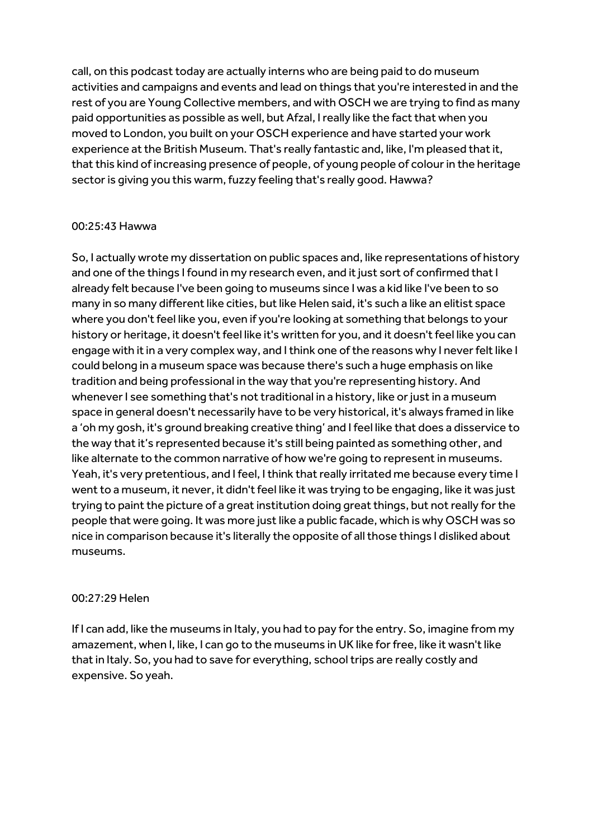call, on this podcast today are actually interns who are being paid to do museum activities and campaigns and events and lead on things that you're interested in and the rest of you are Young Collective members, and with OSCH we are trying to find as many paid opportunities as possible as well, but Afzal, I really like the fact that when you moved to London, you built on your OSCH experience and have started your work experience at the British Museum. That's really fantastic and, like, I'm pleased that it, that this kind of increasing presence of people, of young people of colour in the heritage sector is giving you this warm, fuzzy feeling that's really good. Hawwa?

# 00:25:43 Hawwa

So, I actually wrote my dissertation on public spaces and, like representations of history and one of the things I found in my research even, and it just sort of confirmed that I already felt because I've been going to museums since I was a kid like I've been to so many in so many different like cities, but like Helen said, it's such a like an elitist space where you don't feel like you, even if you're looking at something that belongs to your history or heritage, it doesn't feel like it's written for you, and it doesn't feel like you can engage with it in a very complex way, and I think one of the reasons why I never felt like I could belong in a museum space was because there's such a huge emphasis on like tradition and being professional in the way that you're representing history. And whenever I see something that's not traditional in a history, like or just in a museum space in general doesn't necessarily have to be very historical, it's always framed in like a 'oh my gosh, it's ground breaking creative thing' and I feel like that does a disservice to the way that it's represented because it's still being painted as something other, and like alternate to the common narrative of how we're going to represent in museums. Yeah, it's very pretentious, and I feel, I think that really irritated me because every time I went to a museum, it never, it didn't feel like it was trying to be engaging, like it was just trying to paint the picture of a great institution doing great things, but not really for the people that were going. It was more just like a public facade, which is why OSCH was so nice in comparison because it's literally the opposite of all those things I disliked about museums.

### 00:27:29 Helen

If I can add, like the museums in Italy, you had to pay for the entry. So, imagine from my amazement, when I, like, I can go to the museums in UK like for free, like it wasn't like that in Italy. So, you had to save for everything, school trips are really costly and expensive. So yeah.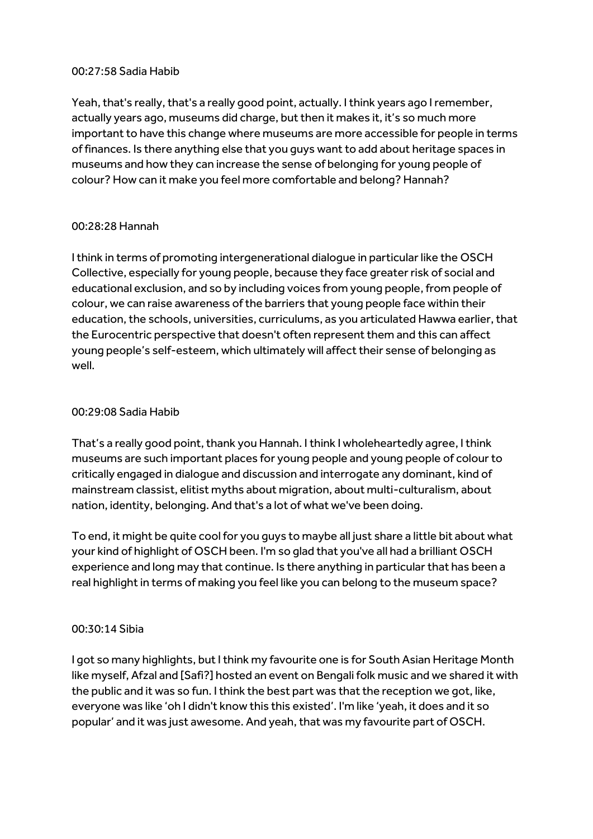# 00:27:58 Sadia Habib

Yeah, that's really, that's a really good point, actually. I think years ago I remember, actually years ago, museums did charge, but then it makes it, it's so much more important to have this change where museums are more accessible for people in terms of finances. Is there anything else that you guys want to add about heritage spaces in museums and how they can increase the sense of belonging for young people of colour? How can it make you feel more comfortable and belong? Hannah?

# 00:28:28 Hannah

I think in terms of promoting intergenerational dialogue in particular like the OSCH Collective, especially for young people, because they face greater risk of social and educational exclusion, and so by including voices from young people, from people of colour, we can raise awareness of the barriers that young people face within their education, the schools, universities, curriculums, as you articulated Hawwa earlier, that the Eurocentric perspective that doesn't often represent them and this can affect young people's self-esteem, which ultimately will affect their sense of belonging as well.

# 00:29:08 Sadia Habib

That's a really good point, thank you Hannah. I think I wholeheartedly agree, I think museums are such important places for young people and young people of colour to critically engaged in dialogue and discussion and interrogate any dominant, kind of mainstream classist, elitist myths about migration, about multi-culturalism, about nation, identity, belonging. And that's a lot of what we've been doing.

To end, it might be quite cool for you guys to maybe all just share a little bit about what your kind of highlight of OSCH been. I'm so glad that you've all had a brilliant OSCH experience and long may that continue. Is there anything in particular that has been a real highlight in terms of making you feel like you can belong to the museum space?

### 00:30:14 Sibia

I got so many highlights, but I think my favourite one is for South Asian Heritage Month like myself, Afzal and [Safi?] hosted an event on Bengali folk music and we shared it with the public and it was so fun. I think the best part was that the reception we got, like, everyone was like 'oh I didn't know this this existed'. I'm like 'yeah, it does and it so popular' and it was just awesome. And yeah, that was my favourite part of OSCH.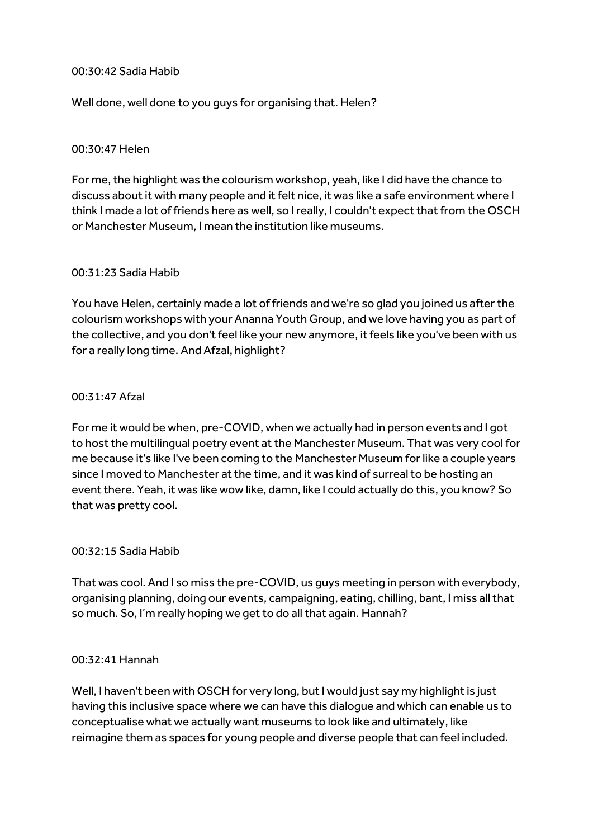## 00:30:42 Sadia Habib

Well done, well done to you guys for organising that. Helen?

# 00:30:47 Helen

For me, the highlight was the colourism workshop, yeah, like I did have the chance to discuss about it with many people and it felt nice, it was like a safe environment where I think I made a lot of friends here as well, so I really, I couldn't expect that from the OSCH or Manchester Museum, I mean the institution like museums.

# 00:31:23 Sadia Habib

You have Helen, certainly made a lot of friends and we're so glad you joined us after the colourism workshops with your Ananna Youth Group, and we love having you as part of the collective, and you don't feel like your new anymore, it feels like you've been with us for a really long time. And Afzal, highlight?

# 00:31:47 Afzal

For me it would be when, pre-COVID, when we actually had in person events and I got to host the multilingual poetry event at the Manchester Museum. That was very cool for me because it's like I've been coming to the Manchester Museum for like a couple years since I moved to Manchester at the time, and it was kind of surreal to be hosting an event there. Yeah, it was like wow like, damn, like I could actually do this, you know? So that was pretty cool.

### 00:32:15 Sadia Habib

That was cool. And I so miss the pre-COVID, us guys meeting in person with everybody, organising planning, doing our events, campaigning, eating, chilling, bant, I miss all that so much. So, I'm really hoping we get to do all that again. Hannah?

### 00:32:41 Hannah

Well, I haven't been with OSCH for very long, but I would just say my highlight is just having this inclusive space where we can have this dialogue and which can enable us to conceptualise what we actually want museums to look like and ultimately, like reimagine them as spaces for young people and diverse people that can feel included.